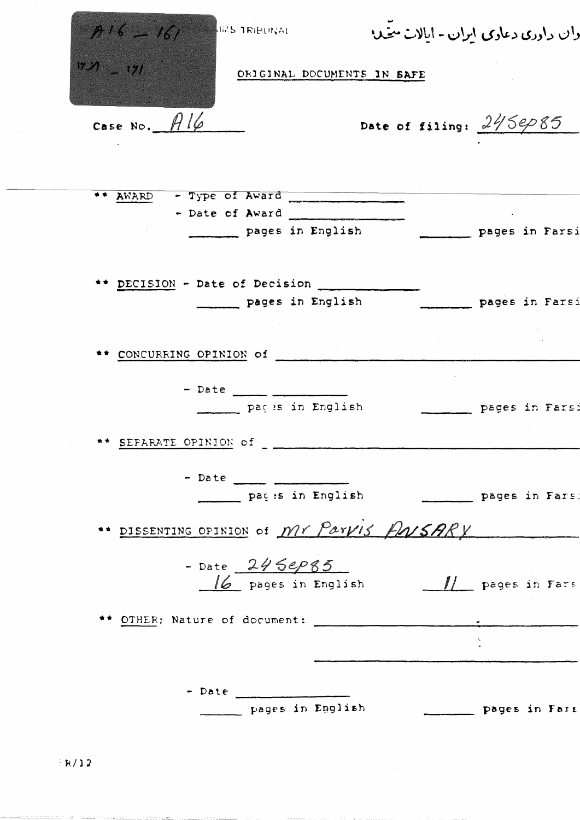| $A16 - 161$<br><b>HI'S TRIBUNAL</b>        |                         | دان داودی دعادی ایران - ایالات میتی، |
|--------------------------------------------|-------------------------|--------------------------------------|
| $1721 - 171$<br>ORIGINAL DOCUMENTS IN SAFE |                         |                                      |
| Case No. $A16$                             | Date of filing: 245ep85 |                                      |
|                                            |                         |                                      |
| - Type of Award<br>** AWARD                |                         |                                      |
| - Date of Award                            |                         |                                      |
| pages in English                           |                         | pages in Farsi                       |
| ** DECISION - Date of Decision             |                         |                                      |
| pages in English                           |                         | pages in Farsi                       |
|                                            |                         |                                      |
| CONCURRING OPINION of                      |                         |                                      |
| $-$ Date $\qquad$                          |                         |                                      |
| paces in English                           |                         | pages in Farsi                       |
| ** SEPARATE OPINION of                     |                         |                                      |
| - Date $\qquad$                            |                         |                                      |
| paces in English                           |                         | pages in Fars:                       |
| ** DISSENTING OPINION Of MY Parvis PWSARY  |                         |                                      |
|                                            |                         |                                      |
| - Date 245ep85<br>$16$ pages in English    |                         | // pages in Fars                     |
|                                            |                         |                                      |
|                                            |                         |                                      |
| - Date                                     |                         |                                      |
| pages in English.                          |                         | pages in Farr                        |
|                                            |                         |                                      |

 $SR/12$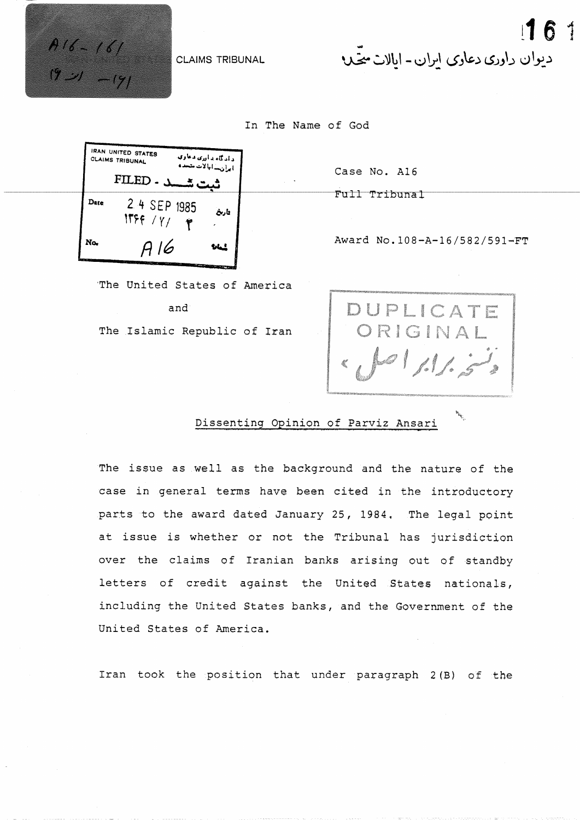دیوان راوری دعاوی ایران- ایالات سخّده مسلمات CLAIMS TRIBUNAL

 $\frac{1}{2}$ 

In The Name of God

|      | <b>IRAN UNITED STATES</b><br>CLAIMS TRIBUNAL |              | د اد گاه د اوری د ماري.<br>المران سنابا لأت متحده |  |
|------|----------------------------------------------|--------------|---------------------------------------------------|--|
|      | ثبت شـــد . FILED                            |              |                                                   |  |
| Date | 1556 / Y/                                    | 2 4 SEP 1985 | تأريخ                                             |  |
| No.  |                                              | A16          | りんと                                               |  |
|      |                                              |              |                                                   |  |

 $A16 - 161$ <br>(9 - 1 - 19)

Case No. Al6<br>Full Tribunal

Award No.108-A-16/582/591-FT

'The United States of America

and

The Islamic Republic of Iran

DUPLICATE ORIGINAL  $\mathcal{O}(\mu\mathcal{U},\mathcal{L})$ 

Dissenting Opinion of Parviz Ansari

The issue as well as the background and the nature of the case in general terms have been cited in the introductory parts to the award dated January 25, 1984. The legal point at issue is whether or not the Tribunal has jurisdiction over the claims of Iranian banks arising out of standby letters of credit against the United States nationals, including the United States banks, and the Government of the United States of America.

Iran took the position that under paragraph 2 (B) of the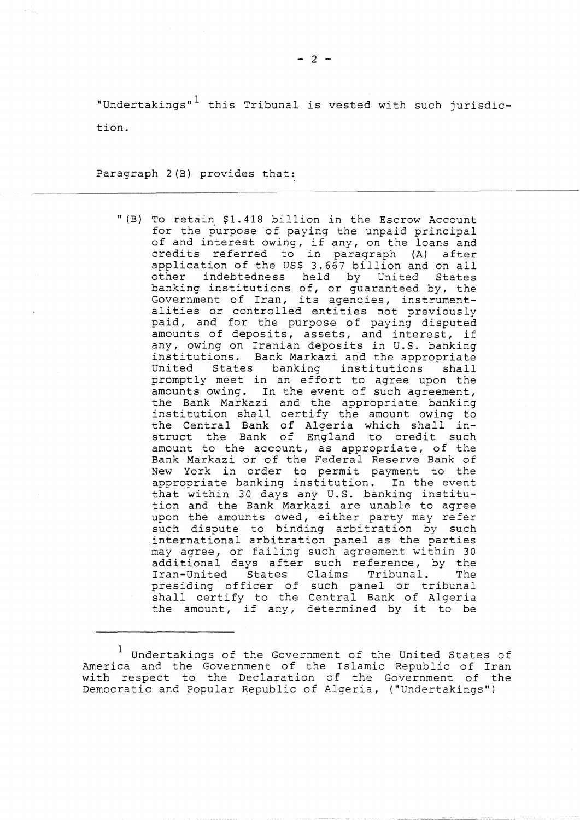"Undertakings" $1$  this Tribunal is vested with such jurisdiction.

Paragraph 2(B) provides that:

"(B) TO retain \$1.418 billion in the Escrow Account for the purpose of paying the unpaid principal of and interest owing, if any, on the loans and credits referred to in paragraph (A) after application of the US\$ 3.667 billion and on all<br>other indebtedness held by United States indebtedness held by banking institutions of, or guaranteed by, the Government of Iran, its agencies, instrumentalities or controlled entities not previously paid, and for the purpose of paying disputed amounts of deposits, assets, and interest, if any, owing on Iranian deposits in U.S. banking institutions. Bank Markazi and the appropriate institutions shall promptly meet in an effort to agree upon the amounts owing. In the event of such agreement, the Bank Markazi and the appropriate banking institution shall certify the amount owing to the Central Bank of Algeria which shall instruct the Bank of England to credit such amount to the account, as appropriate, of the Bank Markazi or of the Federal Reserve Bank of New York in order to permit payment to the appropriate banking institution. In the event that within 30 days any U.S. banking institution and the Bank Markazi are unable to agree upon the amounts owed, either party may refer such dispute to binding arbitration by such international arbitration panel as the parties may agree, or failing such agreement within 30 additional days after such reference, by the Iran-United States Claims Tribunal. The presiding officer of such panel or tribunal shall certify to the Central Bank of Algeria shail certity to the Central Bank of Aigeria<br>the amount, if any, determined by it to be

1 Undertakings of the Government of the United States of America and the Government of the Islamic Republic of Iran with respect to the Declaration of the Government of the Democratic and Popular Republic of Algeria, ("Undertakings")

·: *..* -----·-- .. - --- , - - \_. \_\_\_\_\_ \_ L\_\_, \_\_ , \_\_ \_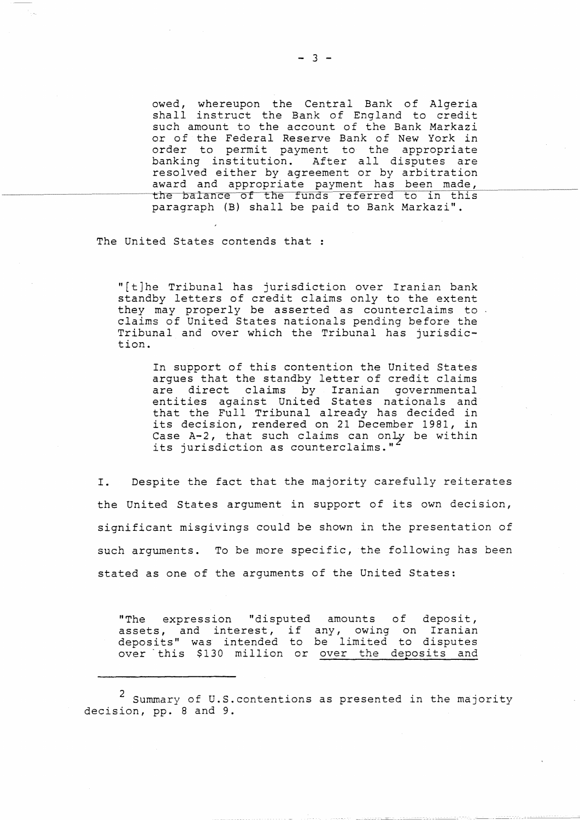owed, whereupon the Central Bank of Algeria shall instruct the Bank of England to credit such amount to the account of the Bank Markazi or of the Federal Reserve Bank of New York in order to permit payment to the appropriate banking institution. After all disputes are resolved either by agreement or by arbitration award and appropriate payment has been made, the balance of the funds referred to in this paragraph (B) shall be paid to Bank Markazi".

The United States contends that :

"[t)he Tribunal has jurisdiction over Iranian bank standby letters of credit claims only to the extent they may properly be asserted as counterclaims to claims of United States nationals pending before the Tribunal and over which the Tribunal has jurisdiction.

In support of this contention the United States argues that the standby letter of credit claims are direct claims by Iranian governmental entities against United States nationals and that the Full Tribunal already has decided in its decision, rendered on 21 December 1981, in Case A-2, that such claims can on½' be within case  $A=2$ , that such craims can onight

I. Despite the fact that the majority carefully reiterates the United States argument in support of its own decision, significant misgivings could be shown in the presentation of such arguments. To be more specific, the following has been stated as one of the arguments of the United States:

"The expression "disputed amounts of deposit, Ine expression dispaced amounts of deposit,<br>assets, and interest, if any, owing on Iranian deposits" was intended to be limited to disputes over this \$130 million or over the deposits and

···------------------·--: ~ --- . ·-------·

<sup>2</sup> Summary of U.S.contentions as presented in the majority decision, pp. 8 and 9.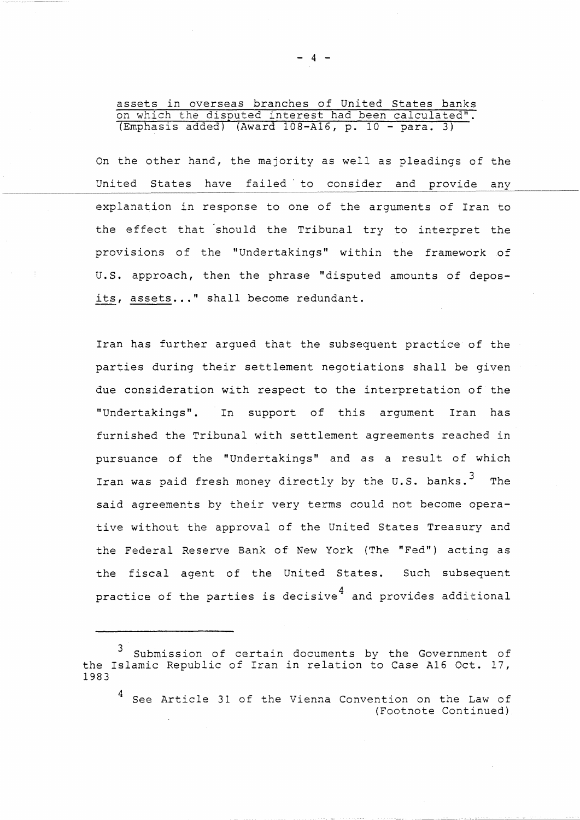assets in overseas branches of United States banks on which the disputed interest had been calculated". (Emphasis added) (Award 108-Al6, p. 10 - para. 3)

On the other hand, the majority as well as pleadings of the United States have failed to consider and provide any explanation in response to one of the arguments of Iran to the effect that should the Tribunal try to interpret the provisions of the "Undertakings" within the framework of U.S. approach, then the phrase "disputed amounts of deposits, assets..." shall become redundant.

Iran has further argued that the subsequent practice of the parties during their settlement negotiations shall be given due consideration with respect to the interpretation of the "Undertakings". In support of this argument Iran has furnished the Tribunal with settlement agreements reached in pursuance of the "Undertakings" and as a result of which Iran was paid fresh money directly by the U.S. banks.<sup>3</sup> The said agreements by their very terms could not become operative without the approval of the United States Treasury and the Federal Reserve Bank of New York (The "Fed") acting as the fiscal agent of the United States. Such subsequent practice of the parties is decisive<sup>4</sup> and provides additional

- 4 -

Submission of certain documents by the Government of the Islamic Republic of Iran in relation to Case Al6 Oct. 17, 1983

<sup>&</sup>lt;sup>4</sup> See Article 31 of the Vienna Convention on the Law of (Footnote Continued)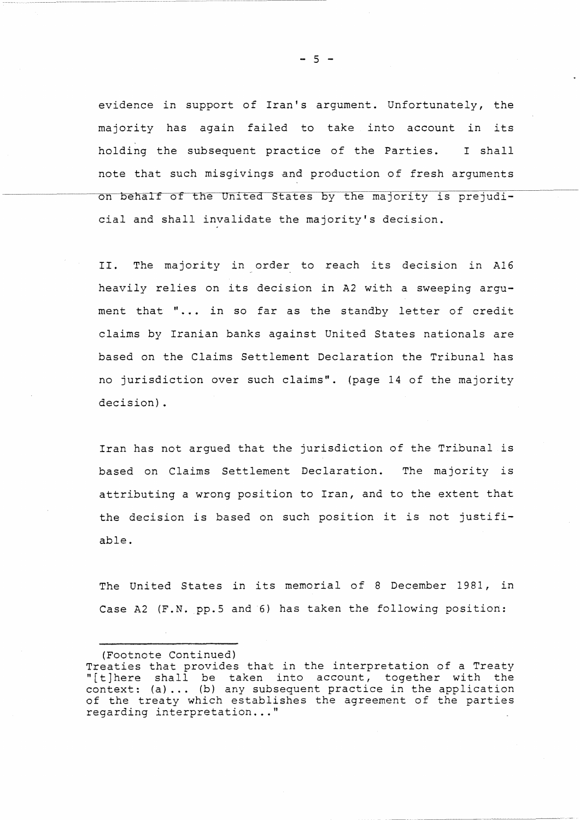evidence in support of Iran's argument. Unfortunately, the majority has again failed to take into account in its holding the subsequent practice of the Parties. I shall note that such misgivings and production of fresh arguments on behalf of the United States by the majority is prejudicial and shall invalidate the majority's decision.

II. The majority in order to reach its decision in Al6 heavily relies on its decision in A2 with a sweeping argument that "... in so far as the standby letter of credit claims by Iranian banks against United States nationals are based on the Claims Settlement Declaration the Tribunal has no jurisdiction over such claims". (page 14 of the majority decision).

Iran has not argued that the jurisdiction of the Tribunal is based on Claims Settlement Declaration. The majority is attributing a wrong position to Iran, and to the extent that the decision is based on such position it is not justifiable.

The United States in its memorial of 8 December 1981, in Case A2 (F.N. pp.5 and 6) has taken the following position:

 $-5 -$ 

<sup>(</sup>Footnote Continued)

Treaties that provides that in the interpretation of a Treaty "[t]here shall be taken into account, together with the context: (a)... (b) any subsequent practice in the application of the treaty which establishes the agreement of the parties regarding interpretation..."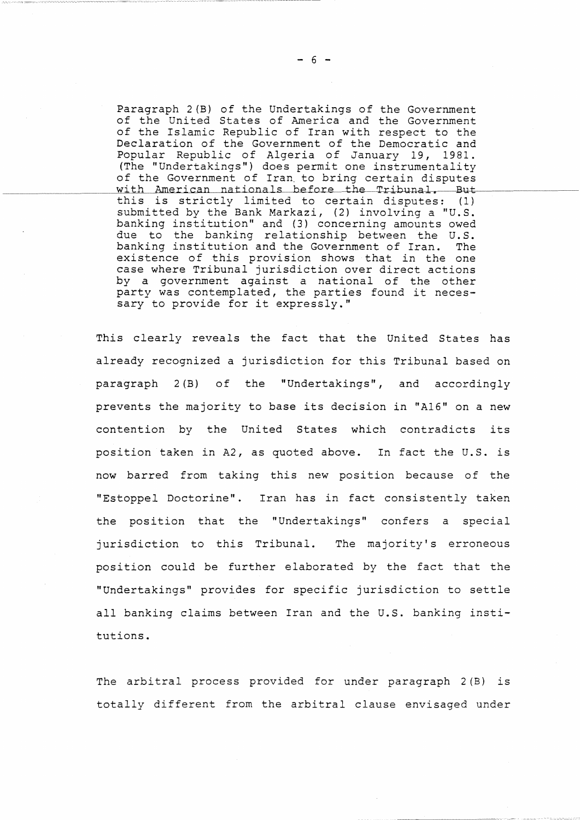Paragraph 2(B) of the Undertakings of the Government of the United States of America and the Government of the Islamic Republic of Iran with respect to the Declaration of the Government of the Democratic and Popular Republic of Algeria of January 19, 1981. (The "Undertakings") does permit one instrumentality of the Government of Iran. to bring certain disputes with American nationals before the Tribunal. But with institum infromats before the filbumar, but submitted by the Bank Markazi, (2) involving a "U.S. banking institution" and (3) concerning amounts owed due to the banking relationship between the U.S. add to the banking idiationship between the 0.5.<br>banking institution and the Government of Iran. The existence of this provision shows that in the one case where Tribunal jurisdiction over direct actions by a government against a national of the other party was contemplated, the parties found it necessary to provide for it expressly."

This clearly reveals the fact that the United States has already recognized a jurisdiction for this Tribunal based on paragraph 2 (B) of the "Undertakings", and accordingly prevents the majority to base its decision in "Al6" on a new contention by the United States which contradicts its position taken in A2, as quoted above. In fact the U.S. is now barred from taking this new position because of the "Estoppel Doctorine". Iran has in fact consistently taken the position that the "Undertakings" confers a special jurisdiction to this Tribunal. The majority's erroneous position could be further elaborated by the fact that the "Undertakings" provides for specific jurisdiction to settle all banking claims between Iran and the U.S. banking institutions.

The arbitral process provided for under paragraph 2(B) is totally different from the arbitral clause envisaged under

 $- 6 -$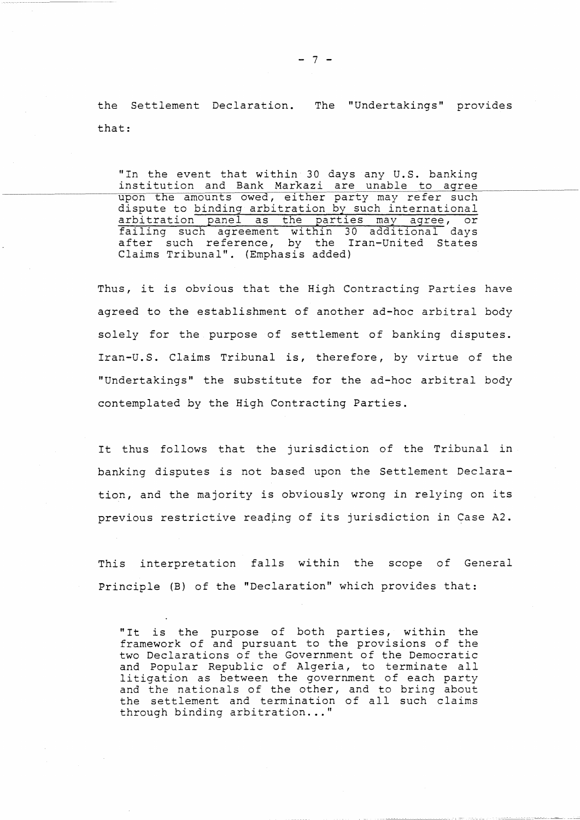the Settlement Declaration. The "Undertakings" provides that:

"In the event that within 30 days any U.S. banking in the event that within 50 days any 5:0: Banking<br>institution and Bank Markazi are unable to agree upon the amounts owed, either party may refer such dispute to binding arbitration by such international arbitration panel as the parties may agree, or failing such agreement within 30 additional days after such reference, by the Iran-United States Claims Tribunal". (Emphasis added)

Thus, it is obvious that the High Contracting Parties have agreed to the establishment of another ad-hoc arbitral body solely for the purpose of settlement of banking disputes. Iran-U. S. Claims Tribunal is, therefore, by virtue of the "Undertakings" the substitute for the ad-hoc arbitral body contemplated by the High Contracting Parties.

It thus follows that the jurisdiction of the Tribunal in banking disputes is not based upon the Settlement Declaration, and the majority is obviously wrong in relying on its previous restrictive reading of its jurisdiction in Case A2.

This interpretation falls within the scope of General Principle (B) of the "Declaration" which provides that:

"It is the purpose of both parties, within the framework of and pursuant to the provisions of the two Declarations of the Government of the Democratic and Popular Republic of Algeria, to terminate all litigation as between the government of each party and the nationals of the other, and to bring about the settlement and termination of all such claims through binding arbitration..."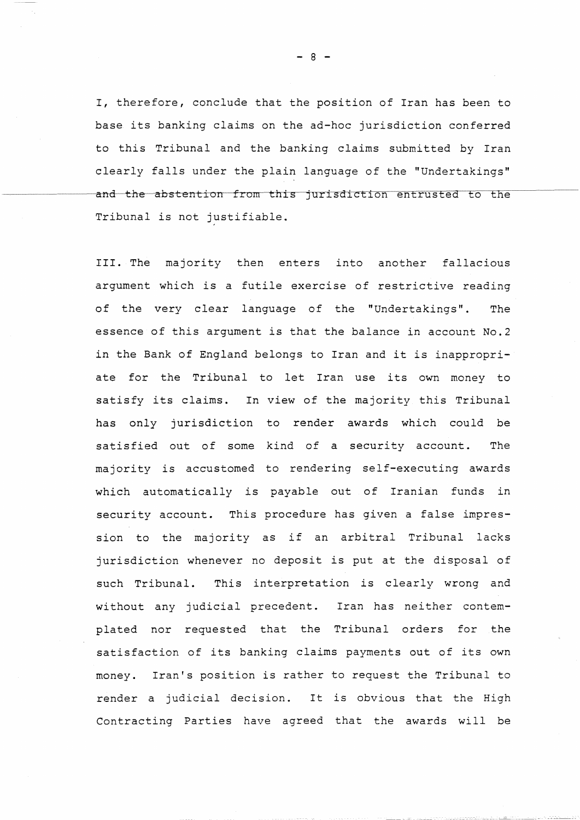I, therefore, conclude that the position of Iran has been to base its banking claims on the ad-hoc jurisdiction conferred to this Tribunal and the banking claims submitted by Iran clearly falls under the plain language of the "Undertakings" and the abstention from this jurisdiction entrusted to the Tribunal is not justifiable.

III. The majority then enters into another fallacious argument which is a futile exercise of restrictive reading of the very clear language of the "Undertakings". The essence of this argument is that the balance in account No.2 in the Bank of England belongs to Iran and it is inappropriate for the Tribunal to let Iran use its own money to satisfy its claims. In view of the majority this Tribunal has only jurisdiction to render awards which could be satisfied out of some kind of a security account. The majority is accustomed to rendering self-executing awards which automatically is payable out of Iranian funds in security account. This procedure has given a false impression to the majority as if an arbitral Tribunal lacks jurisdiction whenever no deposit is put at the disposal of such Tribunal. This interpretation is clearly wrong and without any judicial precedent. Iran has neither contemplated nor requested that the Tribunal orders for the satisfaction of its banking claims payments out of its own money. Iran's position is rather to request the Tribunal to render a judicial decision. It is obvious that the High Contracting Parties have agreed that the awards will be

- 8 -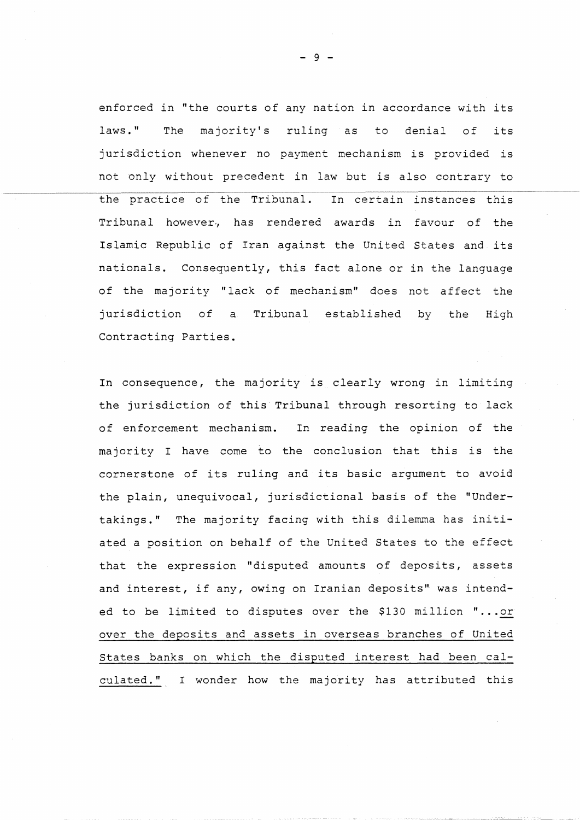enforced in "the courts of any nation in accordance with its laws." The majority's ruling as to denial of its jurisdiction whenever no payment mechanism is provided is not only without precedent in law but is also contrary to the practice of the Tribunal. In certain instances this Tribunal however, has rendered awards in favour of the Islamic Republic of Iran against the United States and its nationals. Consequently, this fact alone or in the language of the majority "lack of mechanism" does not affect the jurisdiction of a Tribunal established by the High Contracting Parties.

In consequence, the majority is clearly wrong in limiting the jurisdiction of this Tribunal through resorting to lack of enforcement mechanism. In reading the opinion of the majority I have come to the conclusion that this is the cornerstone of its ruling and its basic argument to avoid the plain, unequivocal, jurisdictional basis of the "Undertakings." The majority facing with this dilemma has initiated a position on behalf of the United States to the effect that the expression "disputed amounts of deposits, assets and interest, if any, owing on Iranian deposits" was intended to be limited to disputes over the \$130 million "... or over the deposits and assets in overseas branches of United States banks on which the disputed interest had been calculated." I wonder how the majority has attributed this

- 9 -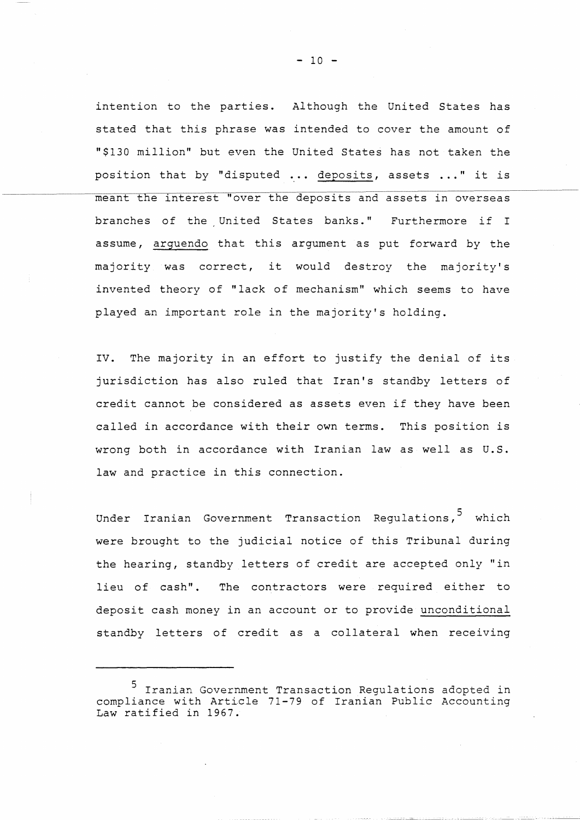intention to the parties. Although the United States has stated that this phrase was intended to cover the amount of "\$130 million" but even the United States has not taken the position that by "disputed ... deposits, assets ..." it is meant the interest "over the deposits and assets in overseas branches of the United States banks." Furthermore if I assume, arguendo that this argument as put forward by the majority was correct, it would destroy the majority's invented theory of "lack of mechanism" which seems to have played an important role in the majority's holding.

IV. The majority in an effort to justify the denial of its jurisdiction has also ruled that Iran's standby letters of credit cannot be considered as assets even if they have been called in accordance with their own terms. This position is wrong both in accordance with Iranian law as well as U.S. law and practice in this connection.

Under Iranian Government Transaction Regulations,<sup>5</sup> which were brought to the judicial notice of this Tribunal during the hearing, standby letters of credit are accepted only "in lieu of cash". The contractors were required either to deposit cash money in an account or to provide unconditional standby letters of credit as a collateral when receiving

 $-10 -$ 

<sup>&</sup>lt;sup>5</sup> Iranian Government Transaction Regulations adopted in compliance with Article 71-79 of Iranian Public Accounting Law ratified in 1967.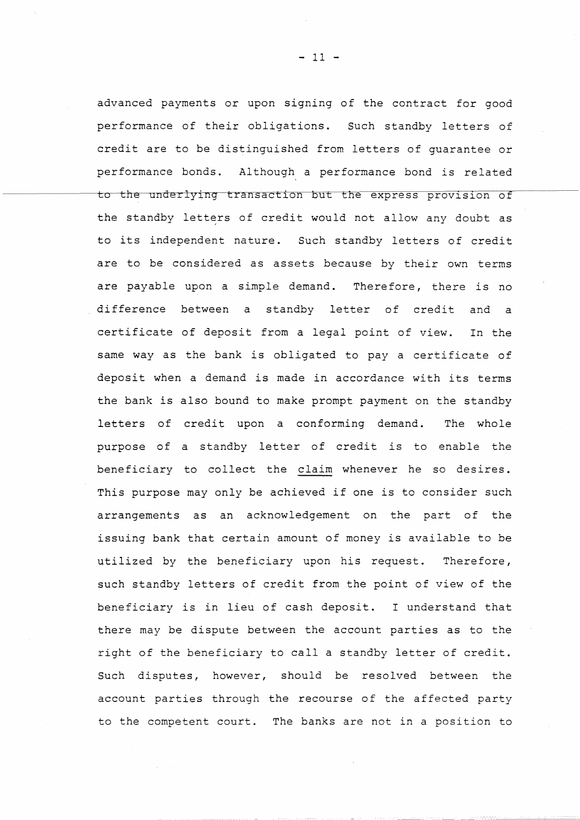advanced payments or upon signing of the contract for good performance of their obligations. Such standby letters of credit are to be distinguished from letters of guarantee or performance bonds. Although a performance bond is related to the underlying transaction but the express provision of the standby letters of credit would not allow any doubt as to its independent nature. Such standby letters of credit are to be considered as assets because by their own terms are payable upon a simple demand. Therefore, there is no difference between a standby letter of credit and a certificate of deposit from a legal point of view. In the same way as the bank is obligated to pay a certificate of deposit when a demand is made in accordance with its terms the bank is also bound to make prompt payment on the standby letters of credit upon a conforming demand. The whole purpose of a standby letter of credit is to enable the beneficiary to collect the claim whenever he so desires. This purpose may only be achieved if one is to consider such arrangements as an acknowledgement on the part of the issuing bank that certain amount of money is available to be utilized by the beneficiary upon his request. Therefore, such standby letters of credit from the point of view of the beneficiary is in lieu of cash deposit. I understand that there may be dispute between the account parties as to the right of the beneficiary to call a standby letter of credit. Such disputes, however, should be resolved between the account parties through the recourse of the affected party to the competent court. The banks are not in a position to

---- --···--·······--- ~----- ' \_\_\_ · \_\_\_ \_

 $-11 -$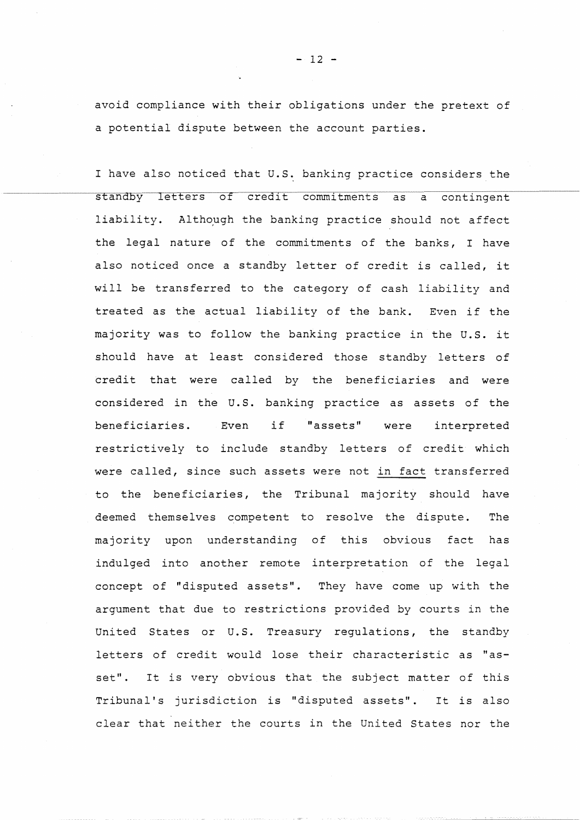avoid compliance with their obligations under the pretext of a potential dispute between the account parties.

I have also noticed that U.S. banking practice considers the standby letters of credit commitments as a contingent liability. Although the banking practice should not affect the legal nature of the commitments of the banks, I have also noticed once a standby letter of credit is called, it will be transferred to the category of cash liability and treated as the actual liability of the bank. Even if the majority was to follow the banking practice in the U.S. it should have at least considered those standby letters of credit that were called by the beneficiaries and were considered in the U.S. banking practice as assets of the beneficiaries. Even if "assets" were interpreted restrictively to include standby letters of credit which were called, since such assets were not in fact transferred to the beneficiaries, the Tribunal majority should have deemed themselves competent to resolve the dispute. The majority upon understanding of this obvious fact has indulged into another remote interpretation of the legal concept of "disputed assets". They have come up with the argument that due to restrictions provided by courts in the United States or U.S. Treasury regulations, the standby letters of credit would lose their characteristic as "asset". It is very obvious that the subject matter of this Tribunal's jurisdiction is "disputed assets". It is also clear that neither the courts in the United States nor the

 $- 12 -$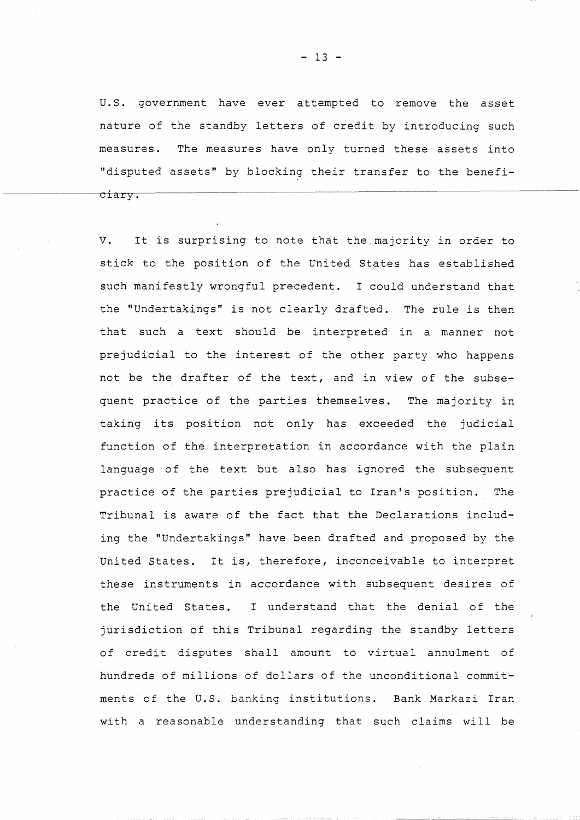U.S. government have ever attempted to remove the asset nature of the standby letters of credit by introducing such measures. The measures have only turned these assets into "disputed assets" by blocking their transfer to the beneficiary.

V. It is surprising to note that the.majority in order to stick to the position of the United States has established such manifestly wrongful precedent. I could understand that the "Undertakings" is not clearly drafted. The rule is then that such a text should be interpreted in a manner not prejudicial to the interest of the other party who happens not be the drafter of the text, and in view of the subsequent practice of the parties themselves. The majority in taking its position not only has exceeded the judicial function of the interpretation in accordance with the plain language of the text but also has ignored the subsequent practice of the parties prejudicial to Iran's position. The Tribunal is aware of the fact that the Declarations including the "Undertakings" have been drafted and proposed by the United States. It is, therefore, inconceivable to interpret these instruments in accordance with subsequent desires of the United States. I understand that the denial of the jurisdiction of this Tribunal regarding the standby letters of credit disputes shall amount to virtual annulment of hundreds of millions of dollars of the unconditional commitments of the U.S. banking institutions. Bank Markazi Iran with a reasonable understanding that such claims will be

 $- 13 -$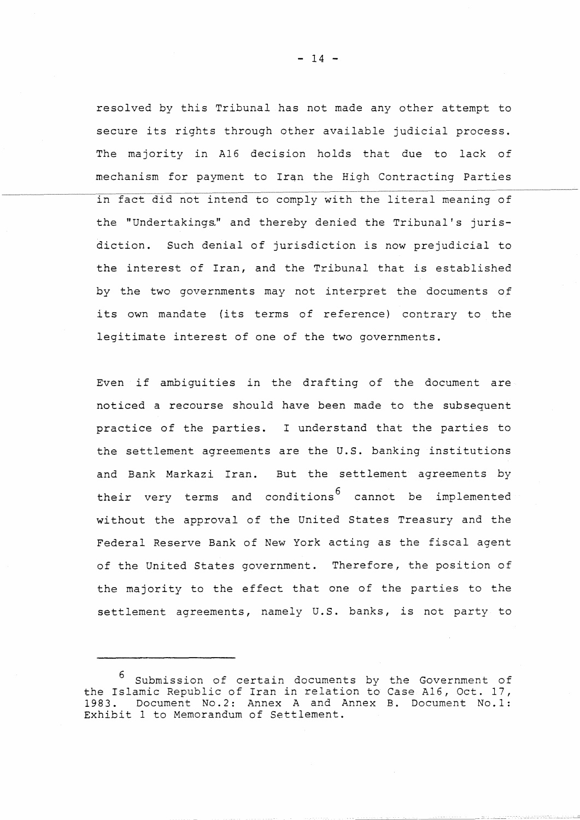resolved by this Tribunal has not made any other attempt to secure its rights through other available judicial process. The majority in Al6 decision holds that due to lack of mechanism for payment to Iran the High Contracting Parties in fact did not intend to comply with the literal meaning of the "Undertakings" and thereby denied the Tribunal's jurisdiction. Such denial of jurisdiction is now prejudicial to the interest of Iran, and the Tribunal that is established by the two governments may not interpret the documents of its own mandate (its terms of reference) contrary to the legitimate interest of one of the two governments.

Even if ambiguities in the drafting of the document are noticed a recourse should have been made to the subsequent practice of the parties. I understand that the parties to the settlement agreements are the U.S. banking institutions and Bank Markazi Iran. But the settlement agreements by their very terms and conditions  $6$  cannot be implemented without the approval of the United States Treasury and the Federal Reserve Bank of New York acting as the fiscal agent of the United States government. Therefore, the position of the majority to the effect that one of the parties to the settlement agreements, namely U.S. banks, *is* not party to

 $- 14 -$ 

Submission of certain documents by the Government of the Islamic Republic of Iran in relation to Case Al6, Oct. 17, 1983. Document No.2: Annex A and Annex B. Document No.l: Exhibit 1 to Memorandum of Settlement.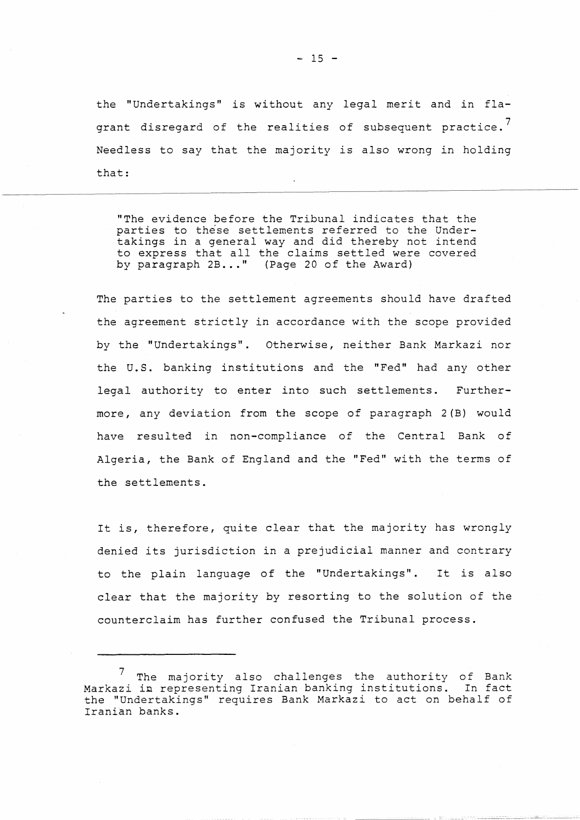the "Undertakings" is without any legal merit and in flagrant disregard of the realities of subsequent practice.<sup>7</sup> Needless to say that the majority is also wrong in holding that:

"The evidence before the Tribunal indicates that the parties to these settlements referred to the Undertakings in a general way and did thereby not intend to express that all the claims settled were covered by paragraph 2B..." (Page 20 of the Award)

The parties to the settlement agreements should have drafted the agreement strictly in accordance with the scope provided by the "Undertakings". Otherwise, neither Bank Markazi nor the U.S. banking institutions and the "Fed" had any other legal authority to enter into such settlements. Furthermore, any deviation from the scope of paragraph 2(B) would have resulted in non-compliance of the Central Bank of Algeria, the Bank of England and the "Fed" with the terms of the settlements.

It is, therefore, quite clear that the majority has wrongly denied its jurisdiction in a prejudicial manner and contrary to the plain language of the "Undertakings". It is also clear that the majority by resorting to the solution of the counterclaim has further confused the Tribunal process.

------· -··--------------~··· - \_\_\_ , -·--·

The majority also challenges the authority of Bank<br>in representing Iranian banking institutions. In fact Markazi in representing Iranian banking institutions. the "Undertakings" requires Bank Markazi to act on behalf of Iranian banks.